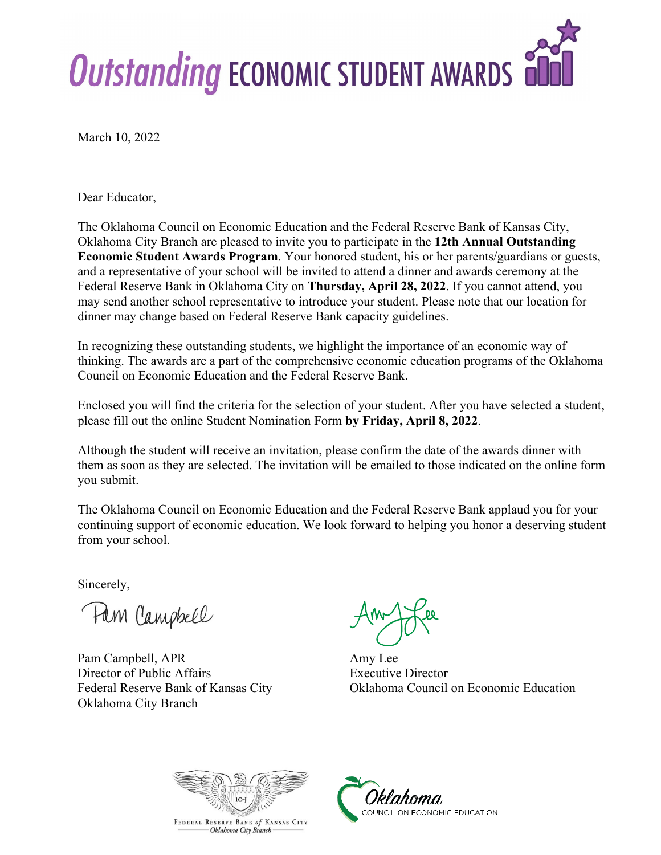

March 10, 2022

Dear Educator,

The Oklahoma Council on Economic Education and the Federal Reserve Bank of Kansas City, Oklahoma City Branch are pleased to invite you to participate in the **12th Annual Outstanding Economic Student Awards Program**. Your honored student, his or her parents/guardians or guests, and a representative of your school will be invited to attend a dinner and awards ceremony at the Federal Reserve Bank in Oklahoma City on **Thursday, April 28, 2022**. If you cannot attend, you may send another school representative to introduce your student. Please note that our location for dinner may change based on Federal Reserve Bank capacity guidelines.

In recognizing these outstanding students, we highlight the importance of an economic way of thinking. The awards are a part of the comprehensive economic education programs of the Oklahoma Council on Economic Education and the Federal Reserve Bank.

Enclosed you will find the criteria for the selection of your student. After you have selected a student, please fill out the online Student Nomination Form **by Friday, April 8, 2022**.

Although the student will receive an invitation, please confirm the date of the awards dinner with them as soon as they are selected. The invitation will be emailed to those indicated on the online form you submit.

The Oklahoma Council on Economic Education and the Federal Reserve Bank applaud you for your continuing support of economic education. We look forward to helping you honor a deserving student from your school.

Sincerely,

Pam Campbell

Pam Campbell, APR Amy Lee Director of Public Affairs Executive Director Oklahoma City Branch

Federal Reserve Bank of Kansas City Oklahoma Council on Economic Education



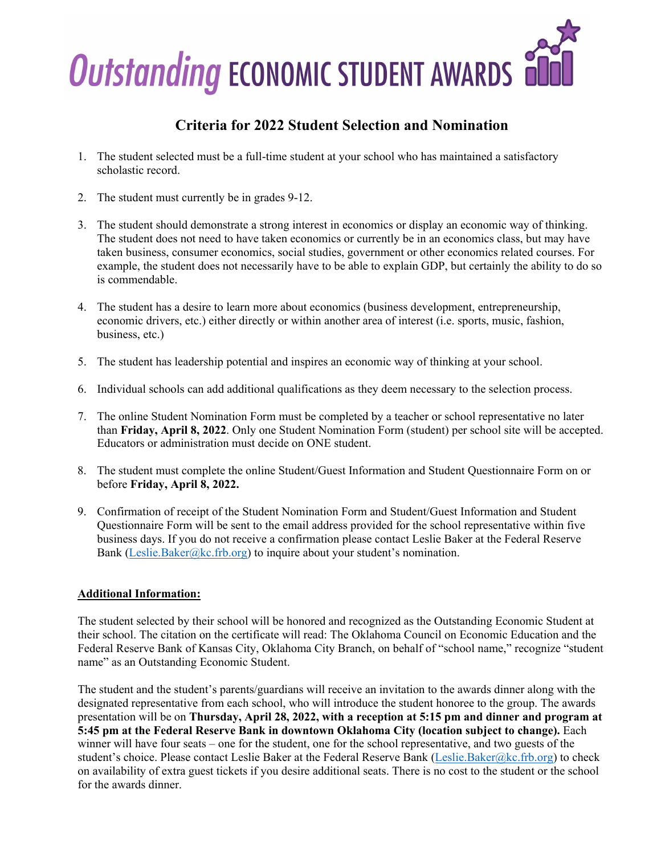

## **Criteria for 2022 Student Selection and Nomination**

- 1. The student selected must be a full-time student at your school who has maintained a satisfactory scholastic record.
- 2. The student must currently be in grades 9-12.
- 3. The student should demonstrate a strong interest in economics or display an economic way of thinking. The student does not need to have taken economics or currently be in an economics class, but may have taken business, consumer economics, social studies, government or other economics related courses. For example, the student does not necessarily have to be able to explain GDP, but certainly the ability to do so is commendable.
- 4. The student has a desire to learn more about economics (business development, entrepreneurship, economic drivers, etc.) either directly or within another area of interest (i.e. sports, music, fashion, business, etc.)
- 5. The student has leadership potential and inspires an economic way of thinking at your school.
- 6. Individual schools can add additional qualifications as they deem necessary to the selection process.
- 7. The online Student Nomination Form must be completed by a teacher or school representative no later than **Friday, April 8, 2022**. Only one Student Nomination Form (student) per school site will be accepted. Educators or administration must decide on ONE student.
- 8. The student must complete the online Student/Guest Information and Student Questionnaire Form on or before **Friday, April 8, 2022.**
- 9. Confirmation of receipt of the Student Nomination Form and Student/Guest Information and Student Questionnaire Form will be sent to the email address provided for the school representative within five business days. If you do not receive a confirmation please contact Leslie Baker at the Federal Reserve Bank [\(Leslie.Baker@kc.frb.org\)](mailto:Leslie.Baker@kc.frb.org) to inquire about your student's nomination.

### **Additional Information:**

The student selected by their school will be honored and recognized as the Outstanding Economic Student at their school. The citation on the certificate will read: The Oklahoma Council on Economic Education and the Federal Reserve Bank of Kansas City, Oklahoma City Branch, on behalf of "school name," recognize "student name" as an Outstanding Economic Student.

The student and the student's parents/guardians will receive an invitation to the awards dinner along with the designated representative from each school, who will introduce the student honoree to the group. The awards presentation will be on **Thursday, April 28, 2022, with a reception at 5:15 pm and dinner and program at 5:45 pm at the Federal Reserve Bank in downtown Oklahoma City (location subject to change).** Each winner will have four seats – one for the student, one for the school representative, and two guests of the student's choice. Please contact Leslie Baker at the Federal Reserve Bank [\(Leslie.Baker@kc.frb.org\)](mailto:Leslie.Baker@kc.frb.org) to check on availability of extra guest tickets if you desire additional seats. There is no cost to the student or the school for the awards dinner.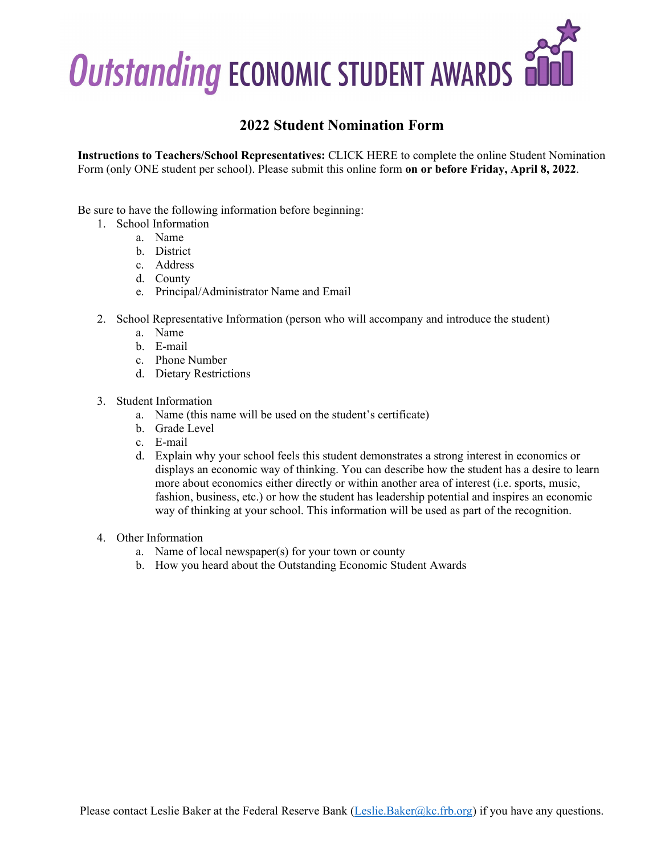

### **2022 Student Nomination Form**

**Instructions to Teachers/School Representatives:** CLICK HERE to complete the online Student Nomination Form (only ONE student per school). Please submit this online form **on or before Friday, April 8, 2022**.

Be sure to have the following information before beginning:

- 1. School Information
	- a. Name
	- b. District
	- c. Address
	- d. County
	- e. Principal/Administrator Name and Email
- 2. School Representative Information (person who will accompany and introduce the student)
	- a. Name
	- b. E-mail
	- c. Phone Number
	- d. Dietary Restrictions
- 3. Student Information
	- a. Name (this name will be used on the student's certificate)
	- b. Grade Level
	- c. E-mail
	- d. Explain why your school feels this student demonstrates a strong interest in economics or displays an economic way of thinking. You can describe how the student has a desire to learn more about economics either directly or within another area of interest (i.e. sports, music, fashion, business, etc.) or how the student has leadership potential and inspires an economic way of thinking at your school. This information will be used as part of the recognition.
- 4. Other Information
	- a. Name of local newspaper(s) for your town or county
	- b. How you heard about the Outstanding Economic Student Awards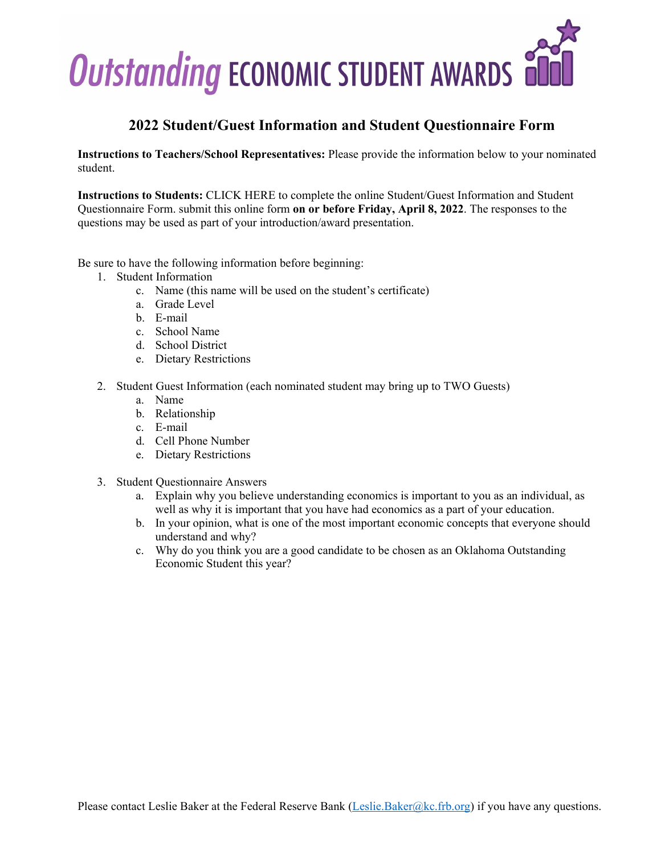

## **2022 Student/Guest Information and Student Questionnaire Form**

**Instructions to Teachers/School Representatives:** Please provide the information below to your nominated student.

**Instructions to Students:** CLICK HERE to complete the online Student/Guest Information and Student Questionnaire Form. submit this online form **on or before Friday, April 8, 2022**. The responses to the questions may be used as part of your introduction/award presentation.

Be sure to have the following information before beginning:

- 1. Student Information
	- c. Name (this name will be used on the student's certificate)
	- a. Grade Level
	- b. E-mail
	- c. School Name
	- d. School District
	- e. Dietary Restrictions
- 2. Student Guest Information (each nominated student may bring up to TWO Guests)
	- a. Name
	- b. Relationship
	- c. E-mail
	- d. Cell Phone Number
	- e. Dietary Restrictions
- 3. Student Questionnaire Answers
	- a. Explain why you believe understanding economics is important to you as an individual, as well as why it is important that you have had economics as a part of your education.
	- b. In your opinion, what is one of the most important economic concepts that everyone should understand and why?
	- c. Why do you think you are a good candidate to be chosen as an Oklahoma Outstanding Economic Student this year?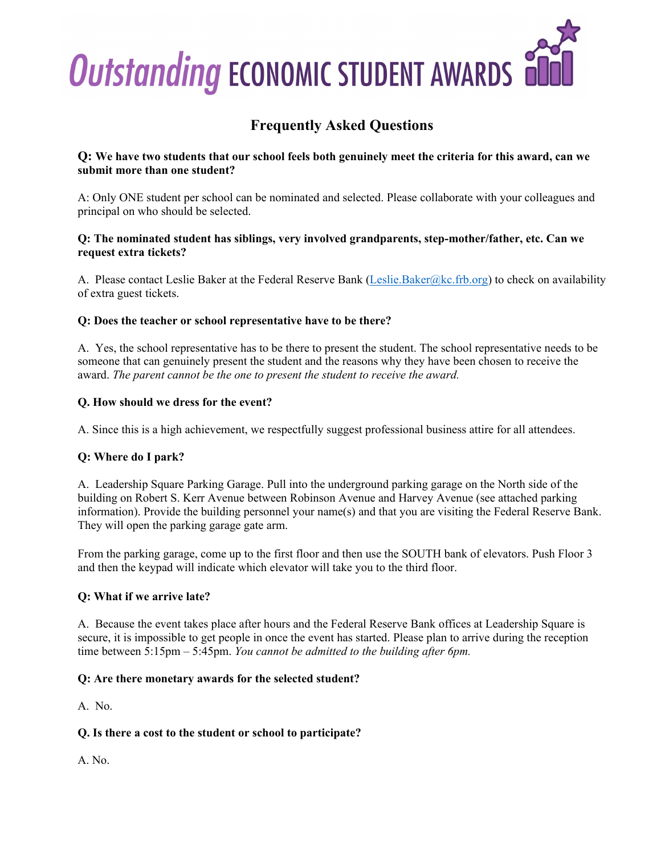

# **Frequently Asked Questions**

#### **Q: We have two students that our school feels both genuinely meet the criteria for this award, can we submit more than one student?**

A: Only ONE student per school can be nominated and selected. Please collaborate with your colleagues and principal on who should be selected.

#### **Q: The nominated student has siblings, very involved grandparents, step-mother/father, etc. Can we request extra tickets?**

A. Please contact Leslie Baker at the Federal Reserve Bank [\(Leslie.Baker@kc.frb.org\)](mailto:Leslie.Baker@kc.frb.org) to check on availability of extra guest tickets.

### **Q: Does the teacher or school representative have to be there?**

A. Yes, the school representative has to be there to present the student. The school representative needs to be someone that can genuinely present the student and the reasons why they have been chosen to receive the award. *The parent cannot be the one to present the student to receive the award.*

#### **Q. How should we dress for the event?**

A. Since this is a high achievement, we respectfully suggest professional business attire for all attendees.

### **Q: Where do I park?**

A. Leadership Square Parking Garage. Pull into the underground parking garage on the North side of the building on Robert S. Kerr Avenue between Robinson Avenue and Harvey Avenue (see attached parking information). Provide the building personnel your name(s) and that you are visiting the Federal Reserve Bank. They will open the parking garage gate arm.

From the parking garage, come up to the first floor and then use the SOUTH bank of elevators. Push Floor 3 and then the keypad will indicate which elevator will take you to the third floor.

#### **Q: What if we arrive late?**

A. Because the event takes place after hours and the Federal Reserve Bank offices at Leadership Square is secure, it is impossible to get people in once the event has started. Please plan to arrive during the reception time between 5:15pm – 5:45pm. *You cannot be admitted to the building after 6pm.*

#### **Q: Are there monetary awards for the selected student?**

A. No.

### **Q. Is there a cost to the student or school to participate?**

A. No.